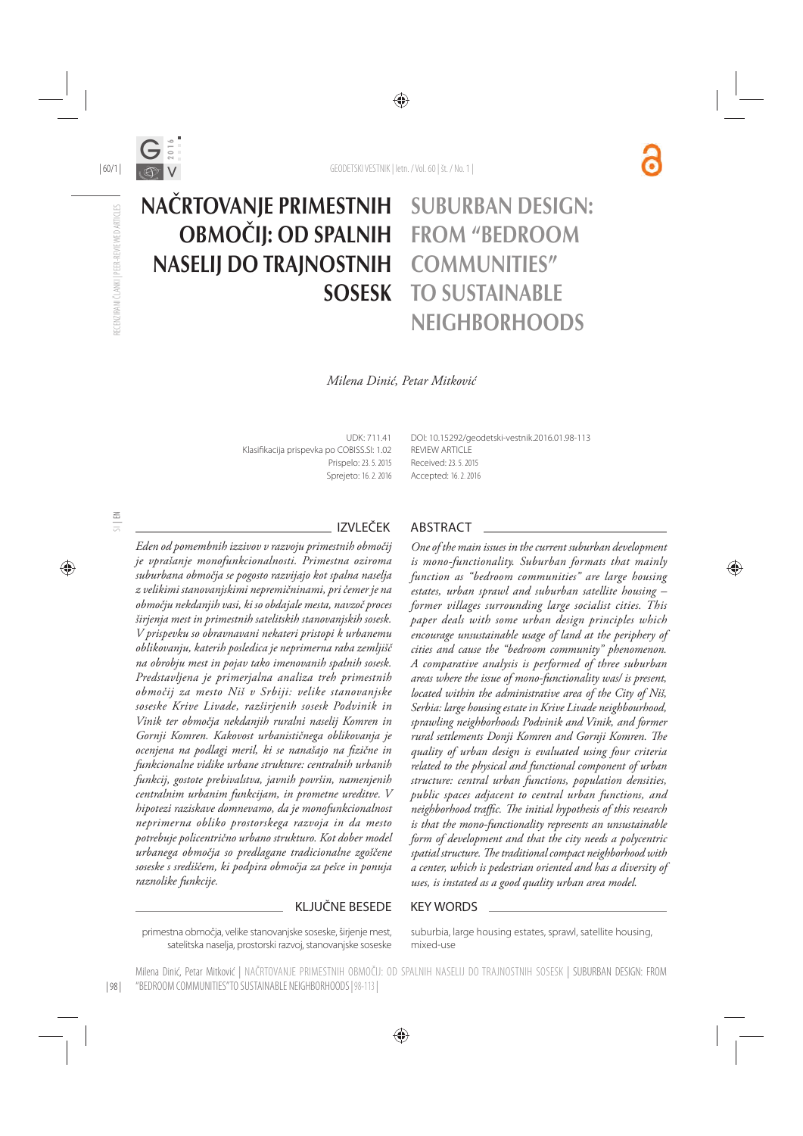

# NAČRTOVANJE PRIMESTNIH OBMOČIJ: OD SPALNIH NASELIJ DO TRAJNOSTNIH SOSESK

## SUBURBAN DESIGN: FROM "BEDROOM COMMUNITIES" TO SUSTAINABLE **NEIGHBORHOODS**

#### *Milena Dinić, Petar Mitković*

UDK: 711.41 Klasifikacija prispevka po COBISS.SI: 1.02 Prispelo: 23. 5. 2015 Sprejeto: 16. 2. 2016 DOI: 10.15292/geodetski-vestnik.2016.01.98-113 REVIEW ARTICLE Received: 23. 5. 2015 Accepted: 16. 2. 2016

*Eden od pomembnih izzivov v razvoju primestnih območij je vprašanje monofunkcionalnosti. Primestna oziroma suburbana območja se pogosto razvijajo kot spalna naselja z velikimi stanovanjskimi nepremičninami, pri čemer je na območju nekdanjih vasi, ki so obdajale mesta, navzoč proces širjenja mest in primestnih satelitskih stanovanjskih sosesk. V prispevku so obravnavani nekateri pristopi k urbanemu oblikovanju, katerih posledica je neprimerna raba zemljišč na obrobju mest in pojav tako imenovanih spalnih sosesk. Predstavljena je primerjalna analiza treh primestnih območij za mesto Niš v Srbiji: velike stanovanjske soseske Krive Livade, razširjenih sosesk Podvinik in Vinik ter območja nekdanjih ruralni naselij Komren in Gornji Komren. Kakovost urbanističnega oblikovanja je ocenjena na podlagi meril, ki se nanašajo na fi zične in funkcionalne vidike urbane strukture: centralnih urbanih funkcij, gostote prebivalstva, javnih površin, namenjenih centralnim urbanim funkcijam, in prometne ureditve. V hipotezi raziskave domnevamo, da je monofunkcionalnost neprimerna obliko prostorskega razvoja in da mesto potrebuje policentrično urbano strukturo. Kot dober model urbanega območja so predlagane tradicionalne zgoščene soseske s središčem, ki podpira območja za pešce in ponuja raznolike funkcije.*

#### IZVLEČEK ABSTRACT

*One of the main issues in the current suburban development is mono-functionality. Suburban formats that mainly function as "bedroom communities" are large housing estates, urban sprawl and suburban satellite housing – former villages surrounding large socialist cities. This paper deals with some urban design principles which encourage unsustainable usage of land at the periphery of cities and cause the "bedroom community" phenomenon. A comparative analysis is performed of three suburban areas where the issue of mono-functionality was/ is present, located within the administrative area of the City of Niš, Serbia: large housing estate in Krive Livade neighbourhood, sprawling neighborhoods Podvinik and Vinik, and former*  rural settlements Donji Komren and Gornji Komren. The *quality of urban design is evaluated using four criteria related to the physical and functional component of urban structure: central urban functions, population densities, public spaces adjacent to central urban functions, and neighborhood traffic. The initial hypothesis of this research is that the mono-functionality represents an unsustainable form of development and that the city needs a polycentric*  spatial structure. The traditional compact neighborhood with *a center, which is pedestrian oriented and has a diversity of uses, is instated as a good quality urban area model.*

#### KLJUČNE BESEDE KEY WORDS

primestna območja, velike stanovanjske soseske, širjenje mest, satelitska naselja, prostorski razvoj, stanovanjske soseske suburbia, large housing estates, sprawl, satellite housing, mixed-use

| 98 | Milena Dinić, Petar Mitković | NAČRTOVANJE PRIMESTNIH OBMOČIJ: OD SPALNIH NASELIJ DO TRAJNOSTNIH SOSESK | SUBURBAN DESIGN: FROM "BEDROOM COMMUNITIES" TO SUSTAINABLE NEIGHBORHOODS| 98-113 |

SI | EN

RECENZIRANI ČLANKI | PEER-REVIEWED ARTICLES

RECENZIRANI ČLANKI I PEER-REVIEWED ARTICLES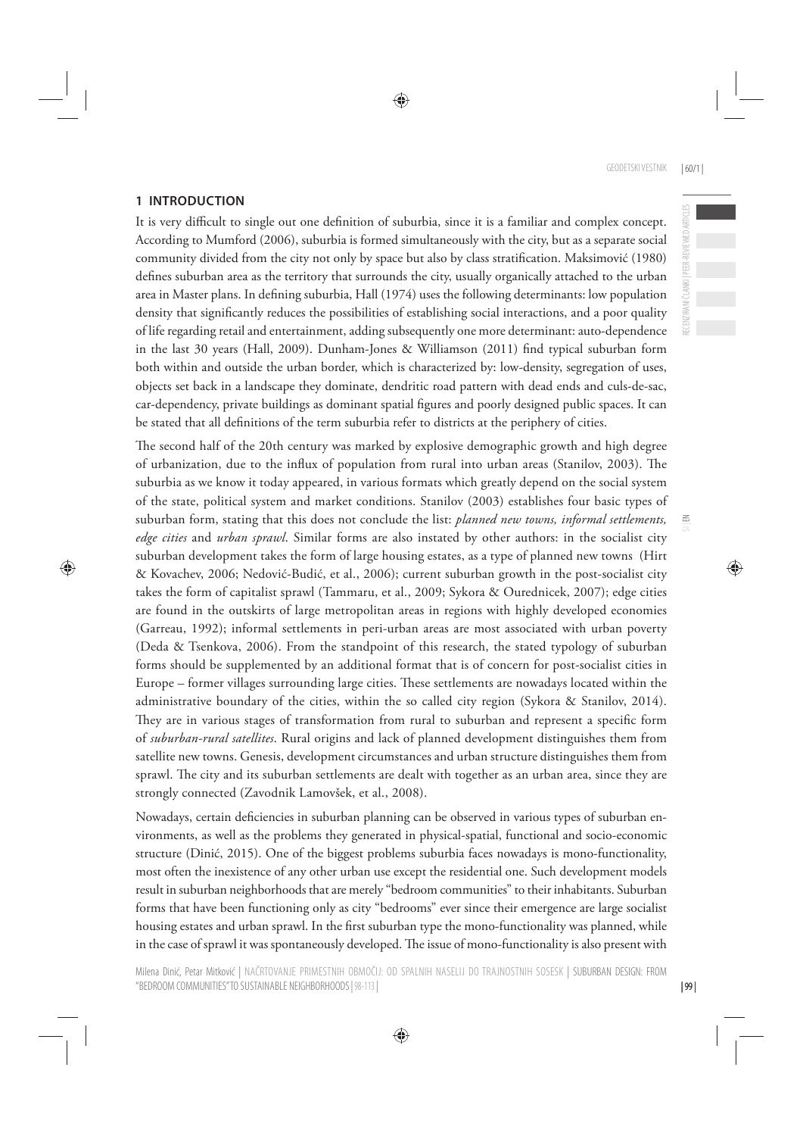#### **1 INTRODUCTION**

It is very difficult to single out one definition of suburbia, since it is a familiar and complex concept. According to Mumford (2006), suburbia is formed simultaneously with the city, but as a separate social community divided from the city not only by space but also by class stratification. Maksimović (1980) defines suburban area as the territory that surrounds the city, usually organically attached to the urban area in Master plans. In defining suburbia, Hall (1974) uses the following determinants: low population density that significantly reduces the possibilities of establishing social interactions, and a poor quality of life regarding retail and entertainment, adding subsequently one more determinant: auto-dependence in the last 30 years (Hall, 2009). Dunham-Jones & Williamson (2011) find typical suburban form both within and outside the urban border, which is characterized by: low-density, segregation of uses, objects set back in a landscape they dominate, dendritic road pattern with dead ends and culs-de-sac, car-dependency, private buildings as dominant spatial figures and poorly designed public spaces. It can be stated that all definitions of the term suburbia refer to districts at the periphery of cities.

The second half of the 20th century was marked by explosive demographic growth and high degree of urbanization, due to the influx of population from rural into urban areas (Stanilov, 2003). The suburbia as we know it today appeared, in various formats which greatly depend on the social system of the state, political system and market conditions. Stanilov (2003) establishes four basic types of suburban form, stating that this does not conclude the list: *planned new towns, informal settlements, edge cities* and *urban sprawl*. Similar forms are also instated by other authors: in the socialist city suburban development takes the form of large housing estates, as a type of planned new towns (Hirt & Kovachev, 2006; Nedović-Budić, et al., 2006); current suburban growth in the post-socialist city takes the form of capitalist sprawl (Tammaru, et al., 2009; Sykora & Ourednicek, 2007); edge cities are found in the outskirts of large metropolitan areas in regions with highly developed economies (Garreau, 1992); informal settlements in peri-urban areas are most associated with urban poverty (Deda & Tsenkova, 2006). From the standpoint of this research, the stated typology of suburban forms should be supplemented by an additional format that is of concern for post-socialist cities in Europe - former villages surrounding large cities. These settlements are nowadays located within the administrative boundary of the cities, within the so called city region (Sykora & Stanilov, 2014). They are in various stages of transformation from rural to suburban and represent a specific form of *suburban-rural satellites*. Rural origins and lack of planned development distinguishes them from satellite new towns. Genesis, development circumstances and urban structure distinguishes them from sprawl. The city and its suburban settlements are dealt with together as an urban area, since they are strongly connected (Zavodnik Lamovšek, et al., 2008).

Nowadays, certain deficiencies in suburban planning can be observed in various types of suburban environments, as well as the problems they generated in physical-spatial, functional and socio-economic structure (Dinić, 2015). One of the biggest problems suburbia faces nowadays is mono-functionality, most often the inexistence of any other urban use except the residential one. Such development models result in suburban neighborhoods that are merely "bedroom communities" to their inhabitants. Suburban forms that have been functioning only as city "bedrooms" ever since their emergence are large socialist housing estates and urban sprawl. In the first suburban type the mono-functionality was planned, while in the case of sprawl it was spontaneously developed. The issue of mono-functionality is also present with

| 99 |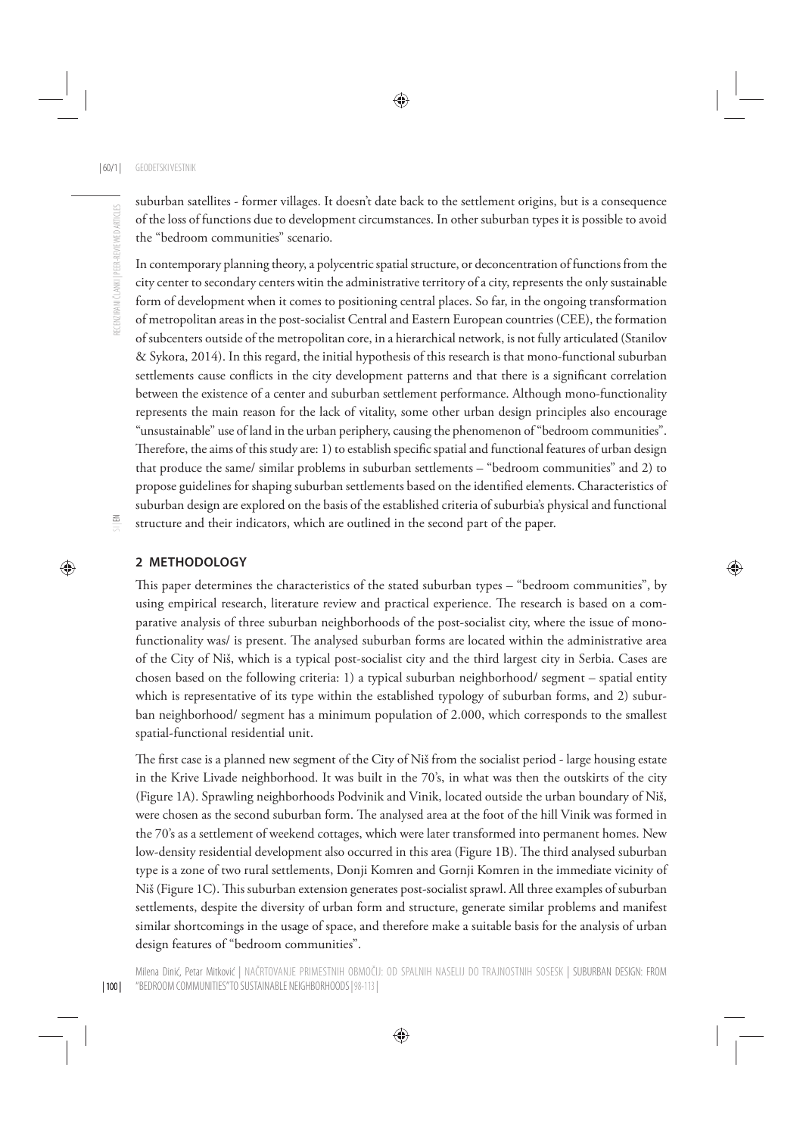suburban satellites - former villages. It doesn't date back to the settlement origins, but is a consequence of the loss of functions due to development circumstances. In other suburban types it is possible to avoid the "bedroom communities" scenario.

In contemporary planning theory, a polycentric spatial structure, or deconcentration of functions from the city center to secondary centers witin the administrative territory of a city, represents the only sustainable form of development when it comes to positioning central places. So far, in the ongoing transformation of metropolitan areas in the post-socialist Central and Eastern European countries (CEE), the formation of subcenters outside of the metropolitan core, in a hierarchical network, is not fully articulated (Stanilov & Sykora, 2014). In this regard, the initial hypothesis of this research is that mono-functional suburban settlements cause conflicts in the city development patterns and that there is a significant correlation between the existence of a center and suburban settlement performance. Although mono-functionality represents the main reason for the lack of vitality, some other urban design principles also encourage "unsustainable" use of land in the urban periphery, causing the phenomenon of "bedroom communities". Therefore, the aims of this study are: 1) to establish specific spatial and functional features of urban design that produce the same/ similar problems in suburban settlements – "bedroom communities" and 2) to propose guidelines for shaping suburban settlements based on the identified elements. Characteristics of suburban design are explored on the basis of the established criteria of suburbia's physical and functional structure and their indicators, which are outlined in the second part of the paper.

#### **2 METHODOLOGY**

This paper determines the characteristics of the stated suburban types – "bedroom communities", by using empirical research, literature review and practical experience. The research is based on a comparative analysis of three suburban neighborhoods of the post-socialist city, where the issue of monofunctionality was/ is present. The analysed suburban forms are located within the administrative area of the City of Niš, which is a typical post-socialist city and the third largest city in Serbia. Cases are chosen based on the following criteria: 1) a typical suburban neighborhood/ segment – spatial entity which is representative of its type within the established typology of suburban forms, and 2) suburban neighborhood/ segment has a minimum population of 2.000, which corresponds to the smallest spatial-functional residential unit.

The first case is a planned new segment of the City of Niš from the socialist period - large housing estate in the Krive Livade neighborhood. It was built in the 70's, in what was then the outskirts of the city (Figure 1A). Sprawling neighborhoods Podvinik and Vinik, located outside the urban boundary of Niš, were chosen as the second suburban form. The analysed area at the foot of the hill Vinik was formed in the 70's as a settlement of weekend cottages, which were later transformed into permanent homes. New low-density residential development also occurred in this area (Figure 1B). The third analysed suburban type is a zone of two rural settlements, Donji Komren and Gornji Komren in the immediate vicinity of Niš (Figure 1C). This suburban extension generates post-socialist sprawl. All three examples of suburban settlements, despite the diversity of urban form and structure, generate similar problems and manifest similar shortcomings in the usage of space, and therefore make a suitable basis for the analysis of urban design features of "bedroom communities".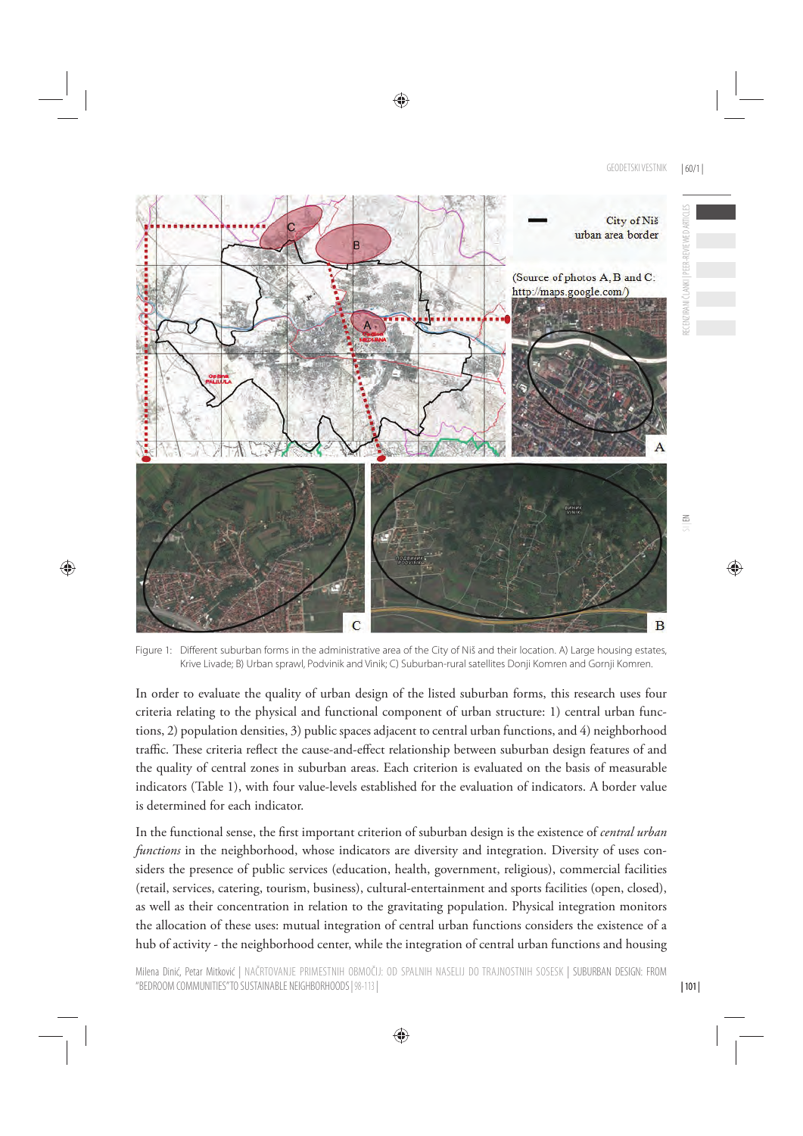

Figure 1: Different suburban forms in the administrative area of the City of Niš and their location. A) Large housing estates, Krive Livade; B) Urban sprawl, Podvinik and Vinik; C) Suburban-rural satellites Donji Komren and Gornji Komren.

In order to evaluate the quality of urban design of the listed suburban forms, this research uses four criteria relating to the physical and functional component of urban structure: 1) central urban functions, 2) population densities, 3) public spaces adjacent to central urban functions, and 4) neighborhood traffic. These criteria reflect the cause-and-effect relationship between suburban design features of and the quality of central zones in suburban areas. Each criterion is evaluated on the basis of measurable indicators (Table 1), with four value-levels established for the evaluation of indicators. A border value is determined for each indicator.

In the functional sense, the first important criterion of suburban design is the existence of *central urban functions* in the neighborhood, whose indicators are diversity and integration. Diversity of uses considers the presence of public services (education, health, government, religious), commercial facilities (retail, services, catering, tourism, business), cultural-entertainment and sports facilities (open, closed), as well as their concentration in relation to the gravitating population. Physical integration monitors the allocation of these uses: mutual integration of central urban functions considers the existence of a hub of activity - the neighborhood center, while the integration of central urban functions and housing

| 101 |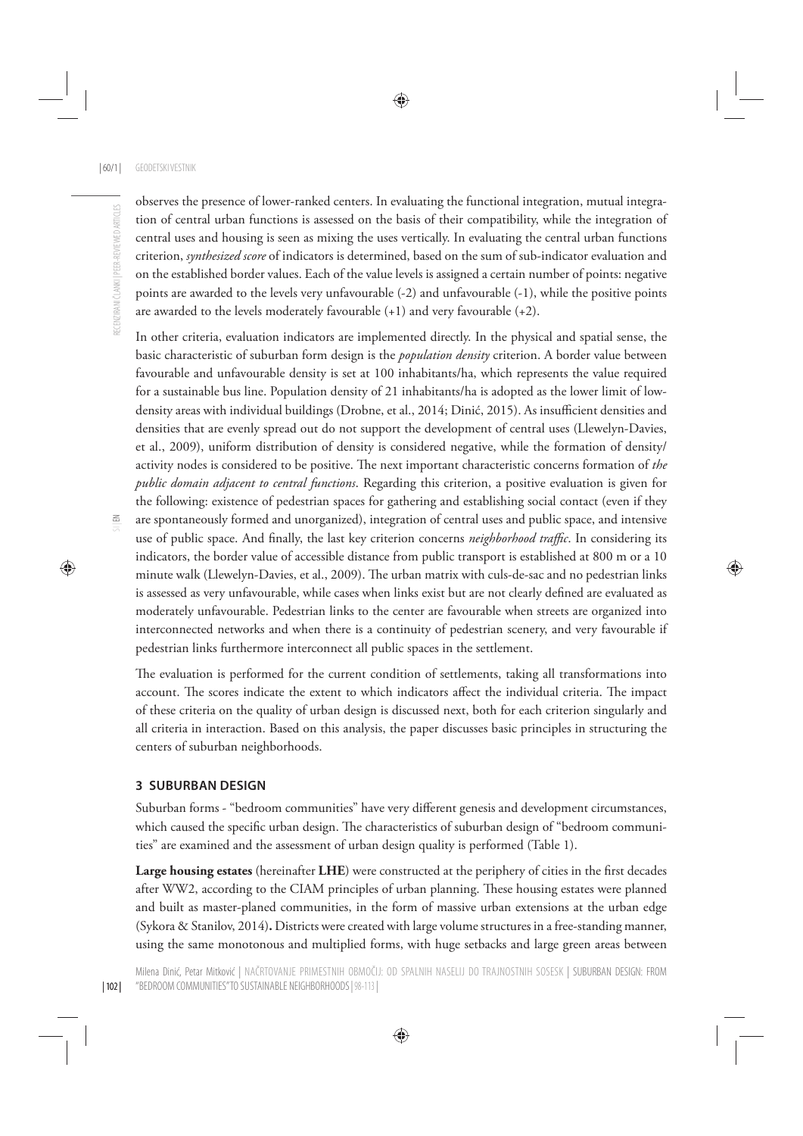observes the presence of lower-ranked centers. In evaluating the functional integration, mutual integration of central urban functions is assessed on the basis of their compatibility, while the integration of central uses and housing is seen as mixing the uses vertically. In evaluating the central urban functions criterion, *synthesized score* of indicators is determined, based on the sum of sub-indicator evaluation and on the established border values. Each of the value levels is assigned a certain number of points: negative points are awarded to the levels very unfavourable (-2) and unfavourable (-1), while the positive points are awarded to the levels moderately favourable  $(+1)$  and very favourable  $(+2)$ .

In other criteria, evaluation indicators are implemented directly. In the physical and spatial sense, the basic characteristic of suburban form design is the *population density* criterion. A border value between favourable and unfavourable density is set at 100 inhabitants/ha, which represents the value required for a sustainable bus line. Population density of 21 inhabitants/ha is adopted as the lower limit of lowdensity areas with individual buildings (Drobne, et al., 2014; Dinić, 2015). As insufficient densities and densities that are evenly spread out do not support the development of central uses (Llewelyn-Davies, et al., 2009), uniform distribution of density is considered negative, while the formation of density/ activity nodes is considered to be positive. The next important characteristic concerns formation of the *public domain adjacent to central functions*. Regarding this criterion, a positive evaluation is given for the following: existence of pedestrian spaces for gathering and establishing social contact (even if they are spontaneously formed and unorganized), integration of central uses and public space, and intensive use of public space. And finally, the last key criterion concerns *neighborhood traffic*. In considering its indicators, the border value of accessible distance from public transport is established at 800 m or a 10 minute walk (Llewelyn-Davies, et al., 2009). The urban matrix with culs-de-sac and no pedestrian links is assessed as very unfavourable, while cases when links exist but are not clearly defined are evaluated as moderately unfavourable. Pedestrian links to the center are favourable when streets are organized into interconnected networks and when there is a continuity of pedestrian scenery, and very favourable if pedestrian links furthermore interconnect all public spaces in the settlement.

The evaluation is performed for the current condition of settlements, taking all transformations into account. The scores indicate the extent to which indicators affect the individual criteria. The impact of these criteria on the quality of urban design is discussed next, both for each criterion singularly and all criteria in interaction. Based on this analysis, the paper discusses basic principles in structuring the centers of suburban neighborhoods.

#### **3 SUBURBAN DESIGN**

Suburban forms - "bedroom communities" have very different genesis and development circumstances, which caused the specific urban design. The characteristics of suburban design of "bedroom communities" are examined and the assessment of urban design quality is performed (Table 1).

Large housing estates (hereinafter LHE) were constructed at the periphery of cities in the first decades after WW2, according to the CIAM principles of urban planning. These housing estates were planned and built as master-planed communities, in the form of massive urban extensions at the urban edge (Sykora & Stanilov, 2014)**.** Districts were created with large volume structures in a free-standing manner, using the same monotonous and multiplied forms, with huge setbacks and large green areas between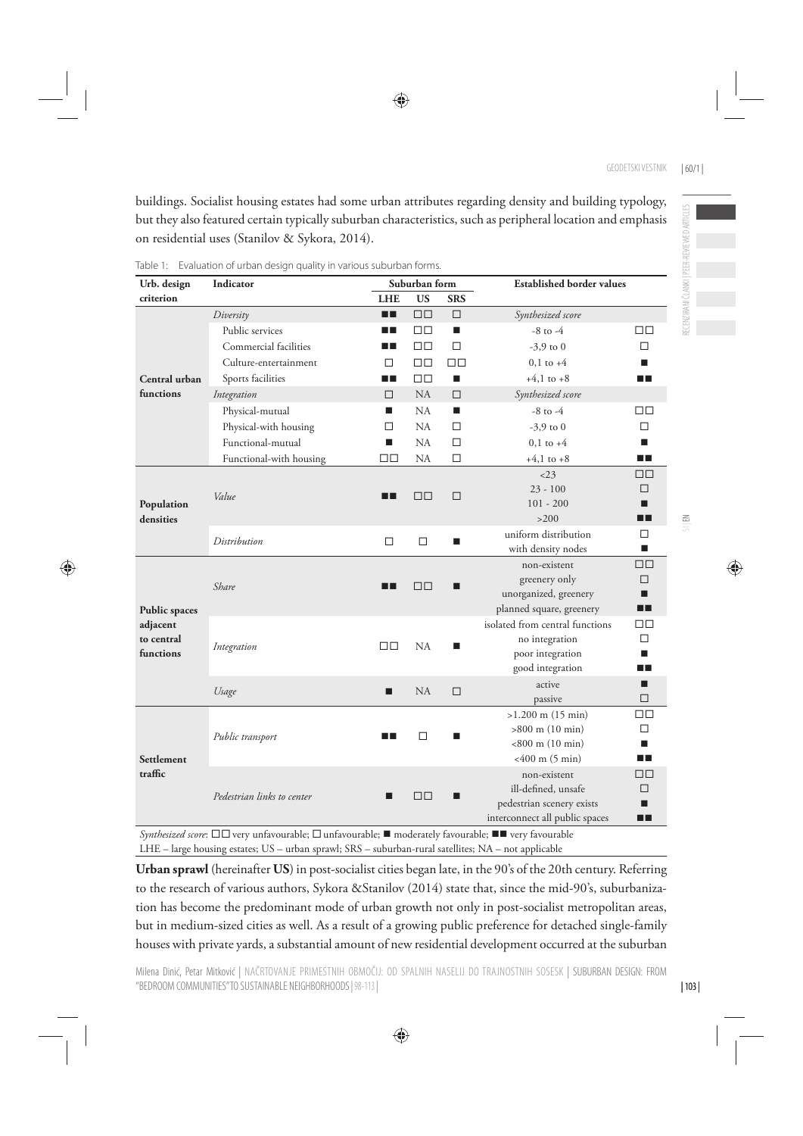buildings. Socialist housing estates had some urban attributes regarding density and building typology, but they also featured certain typically suburban characteristics, such as peripheral location and emphasis on residential uses (Stanilov & Sykora, 2014).

| Urb. design                                                 | Indicator                  | Suburban form |                  |                     | <b>Established border values</b>                  |             |  |
|-------------------------------------------------------------|----------------------------|---------------|------------------|---------------------|---------------------------------------------------|-------------|--|
| criterion                                                   |                            | <b>LHE</b>    | <b>US</b>        | <b>SRS</b>          |                                                   |             |  |
|                                                             | Diversity                  | O B           | $\Box \Box$      | □                   | Synthesized score                                 |             |  |
|                                                             | Public services            | n n           | $\Box$           | п                   | $-8$ to $-4$                                      | $\Box$      |  |
|                                                             | Commercial facilities      | n n           | 口口               | □                   | $-3.9$ to 0                                       | п           |  |
|                                                             | Culture-entertainment      | □             | $\Box \Box$      | □□                  | $0,1$ to $+4$                                     | п           |  |
| Central urban                                               | Sports facilities          | n n           | $\Box \Box$      | $+4,1$ to $+8$<br>■ |                                                   | n n         |  |
| functions                                                   | Integration                | □             | NA               | □                   | Synthesized score                                 |             |  |
|                                                             | Physical-mutual            | п             | NA               | П                   | $-8$ to $-4$                                      | $\Box\Box$  |  |
|                                                             | Physical-with housing      | □             | NA               | □                   | $-3.9$ to 0                                       | П           |  |
|                                                             | Functional-mutual          | п             | NA               | □                   | $0,1$ to $+4$                                     | п           |  |
|                                                             | Functional-with housing    | $\Box$        | <b>NA</b>        | п                   | $+4,1$ to $+8$                                    | ПF          |  |
| Population<br>densities                                     |                            |               | $\Box$<br>$\Box$ | □                   | $<$ 23                                            | $\Box$      |  |
|                                                             | Value<br>Distribution      | ⊓⊓            |                  |                     | $23 - 100$                                        | П           |  |
|                                                             |                            |               |                  |                     | $101 - 200$                                       | П           |  |
|                                                             |                            |               |                  |                     | >200                                              | ▅           |  |
|                                                             |                            | $\Box$        |                  | П                   | uniform distribution                              | □           |  |
|                                                             |                            |               |                  |                     | with density nodes                                | п           |  |
| <b>Public spaces</b><br>adjacent<br>to central<br>functions | Share                      |               | $\Box$ $\Box$    | ш                   | non-existent                                      | $\Box \Box$ |  |
|                                                             |                            | ПT            |                  |                     | greenery only                                     | $\Box$<br>П |  |
|                                                             |                            |               |                  |                     | unorganized, greenery<br>planned square, greenery | □■          |  |
|                                                             |                            |               |                  |                     | isolated from central functions                   | $\Box$      |  |
|                                                             | Integration                |               | NA               | П                   | no integration                                    | П           |  |
|                                                             |                            | $\Box$        |                  |                     | poor integration                                  | П           |  |
|                                                             |                            |               |                  |                     | good integration                                  | n T         |  |
|                                                             | Usage                      | п             | NA               | □                   | active                                            | п           |  |
|                                                             |                            |               |                  |                     | passive                                           | $\Box$      |  |
| Settlement<br>traffic                                       | Public transport           |               | □                |                     | $>1.200$ m (15 min)                               | $\Box$      |  |
|                                                             |                            | $\Box$ $\Box$ |                  | ■                   | $>800$ m (10 min)                                 | □           |  |
|                                                             |                            |               |                  |                     | $< 800$ m (10 min)                                | п           |  |
|                                                             |                            |               |                  |                     | $<400$ m (5 min)                                  | ПF          |  |
|                                                             | Pedestrian links to center |               | $\Box$ $\Box$    |                     | non-existent                                      | $\Box$      |  |
|                                                             |                            | ■             |                  |                     | ill-defined, unsafe                               | П           |  |
|                                                             |                            |               |                  |                     | pedestrian scenery exists                         | п           |  |
|                                                             |                            |               |                  |                     | interconnect all public spaces                    | ┲           |  |

Table 1: Evaluation of urban design quality in various suburban forms.

*Synthesized score*: □□ very unfavourable; □ unfavourable; ■ moderately favourable; ■ very favourable LHE – large housing estates; US – urban sprawl; SRS – suburban-rural satellites; NA – not applicable

**Urban sprawl** (hereinafter **US**) in post-socialist cities began late, in the 90's of the 20th century. Referring to the research of various authors, Sykora &Stanilov (2014) state that, since the mid-90's, suburbanization has become the predominant mode of urban growth not only in post-socialist metropolitan areas, but in medium-sized cities as well. As a result of a growing public preference for detached single-family houses with private yards, a substantial amount of new residential development occurred at the suburban

| 103 |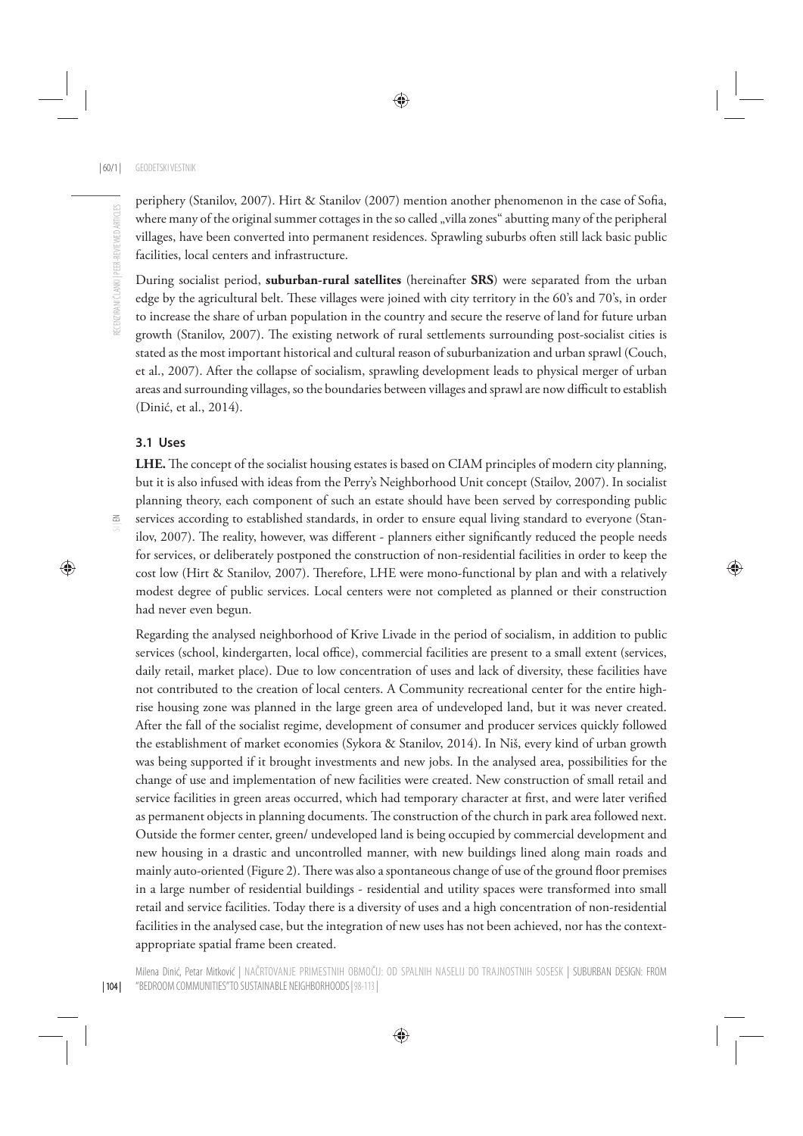periphery (Stanilov, 2007). Hirt & Stanilov (2007) mention another phenomenon in the case of Sofia, where many of the original summer cottages in the so called "villa zones" abutting many of the peripheral villages, have been converted into permanent residences. Sprawling suburbs often still lack basic public facilities, local centers and infrastructure.

During socialist period, **suburban-rural satellites** (hereinafter **SRS**) were separated from the urban edge by the agricultural belt. These villages were joined with city territory in the 60's and 70's, in order to increase the share of urban population in the country and secure the reserve of land for future urban growth (Stanilov, 2007). The existing network of rural settlements surrounding post-socialist cities is stated as the most important historical and cultural reason of suburbanization and urban sprawl (Couch, et al., 2007). After the collapse of socialism, sprawling development leads to physical merger of urban areas and surrounding villages, so the boundaries between villages and sprawl are now difficult to establish (Dinić, et al., 2014).

#### **3.1 Uses**

LHE. The concept of the socialist housing estates is based on CIAM principles of modern city planning, but it is also infused with ideas from the Perry's Neighborhood Unit concept (Stailov, 2007). In socialist planning theory, each component of such an estate should have been served by corresponding public services according to established standards, in order to ensure equal living standard to everyone (Stanilov, 2007). The reality, however, was different - planners either significantly reduced the people needs for services, or deliberately postponed the construction of non-residential facilities in order to keep the cost low (Hirt & Stanilov, 2007). Therefore, LHE were mono-functional by plan and with a relatively modest degree of public services. Local centers were not completed as planned or their construction had never even begun.

Regarding the analysed neighborhood of Krive Livade in the period of socialism, in addition to public services (school, kindergarten, local office), commercial facilities are present to a small extent (services, daily retail, market place). Due to low concentration of uses and lack of diversity, these facilities have not contributed to the creation of local centers. A Community recreational center for the entire highrise housing zone was planned in the large green area of undeveloped land, but it was never created. After the fall of the socialist regime, development of consumer and producer services quickly followed the establishment of market economies (Sykora & Stanilov, 2014). In Niš, every kind of urban growth was being supported if it brought investments and new jobs. In the analysed area, possibilities for the change of use and implementation of new facilities were created. New construction of small retail and service facilities in green areas occurred, which had temporary character at first, and were later verified as permanent objects in planning documents. The construction of the church in park area followed next. Outside the former center, green/ undeveloped land is being occupied by commercial development and new housing in a drastic and uncontrolled manner, with new buildings lined along main roads and mainly auto-oriented (Figure 2). There was also a spontaneous change of use of the ground floor premises in a large number of residential buildings - residential and utility spaces were transformed into small retail and service facilities. Today there is a diversity of uses and a high concentration of non-residential facilities in the analysed case, but the integration of new uses has not been achieved, nor has the contextappropriate spatial frame been created.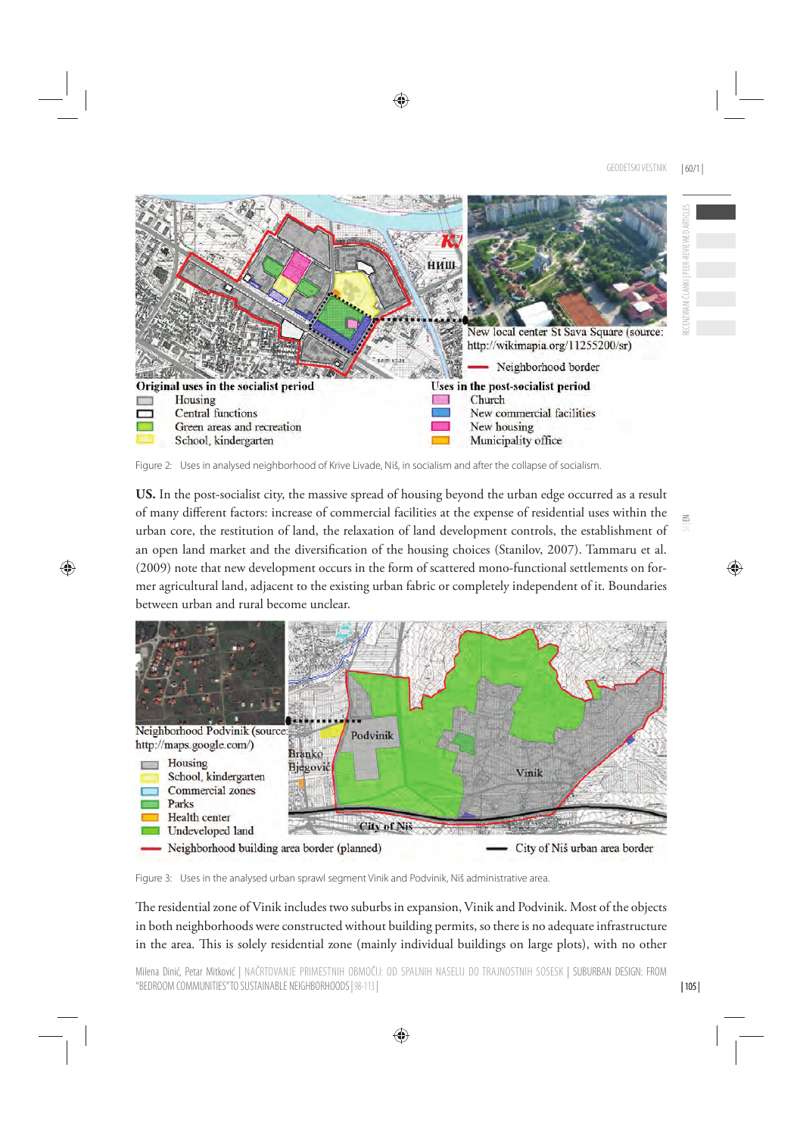

Figure 2: Uses in analysed neighborhood of Krive Livade, Niš, in socialism and after the collapse of socialism.

**US.** In the post-socialist city, the massive spread of housing beyond the urban edge occurred as a result of many different factors: increase of commercial facilities at the expense of residential uses within the urban core, the restitution of land, the relaxation of land development controls, the establishment of an open land market and the diversification of the housing choices (Stanilov, 2007). Tammaru et al. (2009) note that new development occurs in the form of scattered mono-functional settlements on former agricultural land, adjacent to the existing urban fabric or completely independent of it. Boundaries between urban and rural become unclear.



Figure 3: Uses in the analysed urban sprawl segment Vinik and Podvinik, Niš administrative area.

The residential zone of Vinik includes two suburbs in expansion, Vinik and Podvinik. Most of the objects in both neighborhoods were constructed without building permits, so there is no adequate infrastructure in the area. This is solely residential zone (mainly individual buildings on large plots), with no other

 $\geq$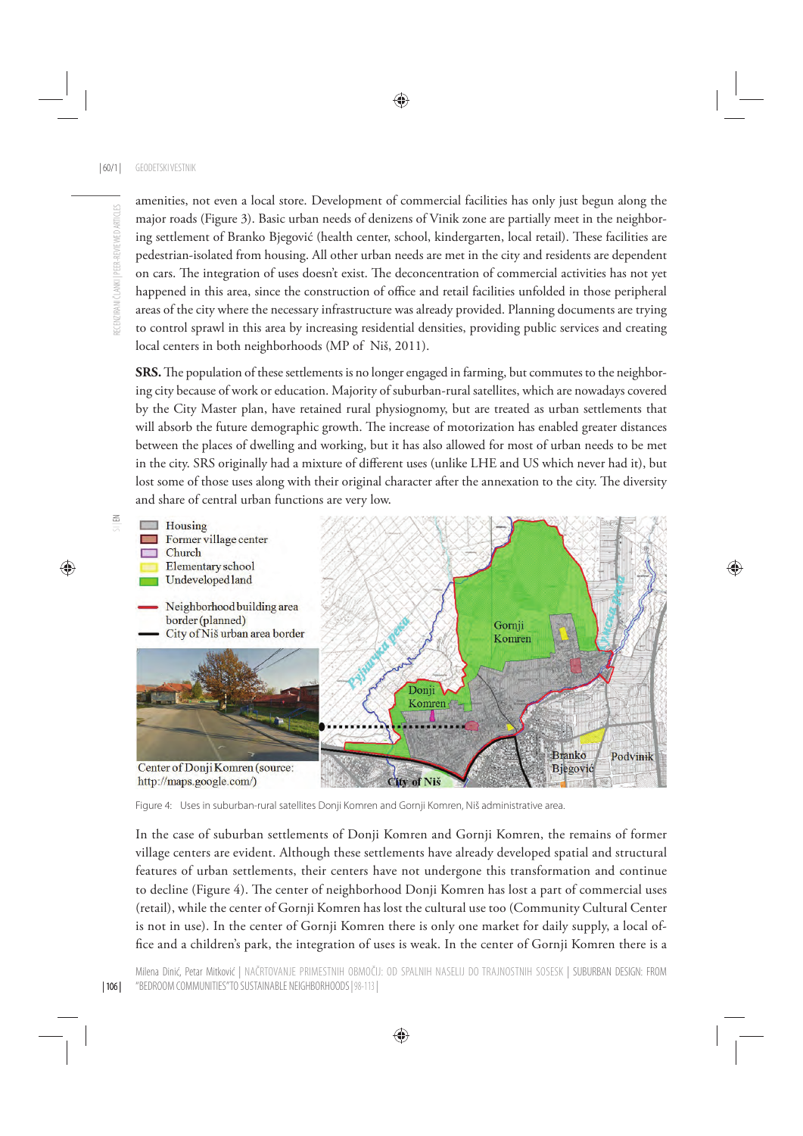amenities, not even a local store. Development of commercial facilities has only just begun along the major roads (Figure 3). Basic urban needs of denizens of Vinik zone are partially meet in the neighboring settlement of Branko Bjegović (health center, school, kindergarten, local retail). These facilities are pedestrian-isolated from housing. All other urban needs are met in the city and residents are dependent on cars. The integration of uses doesn't exist. The deconcentration of commercial activities has not yet happened in this area, since the construction of office and retail facilities unfolded in those peripheral areas of the city where the necessary infrastructure was already provided. Planning documents are trying to control sprawl in this area by increasing residential densities, providing public services and creating local centers in both neighborhoods (MP of Niš, 2011).

**SRS.** The population of these settlements is no longer engaged in farming, but commutes to the neighboring city because of work or education. Majority of suburban-rural satellites, which are nowadays covered by the City Master plan, have retained rural physiognomy, but are treated as urban settlements that will absorb the future demographic growth. The increase of motorization has enabled greater distances between the places of dwelling and working, but it has also allowed for most of urban needs to be met in the city. SRS originally had a mixture of different uses (unlike LHE and US which never had it), but lost some of those uses along with their original character after the annexation to the city. The diversity and share of central urban functions are very low.



Figure 4: Uses in suburban-rural satellites Donji Komren and Gornji Komren, Niš administrative area.

In the case of suburban settlements of Donji Komren and Gornji Komren, the remains of former village centers are evident. Although these settlements have already developed spatial and structural features of urban settlements, their centers have not undergone this transformation and continue to decline (Figure 4). The center of neighborhood Donji Komren has lost a part of commercial uses (retail), while the center of Gornji Komren has lost the cultural use too (Community Cultural Center is not in use). In the center of Gornji Komren there is only one market for daily supply, a local office and a children's park, the integration of uses is weak. In the center of Gornji Komren there is a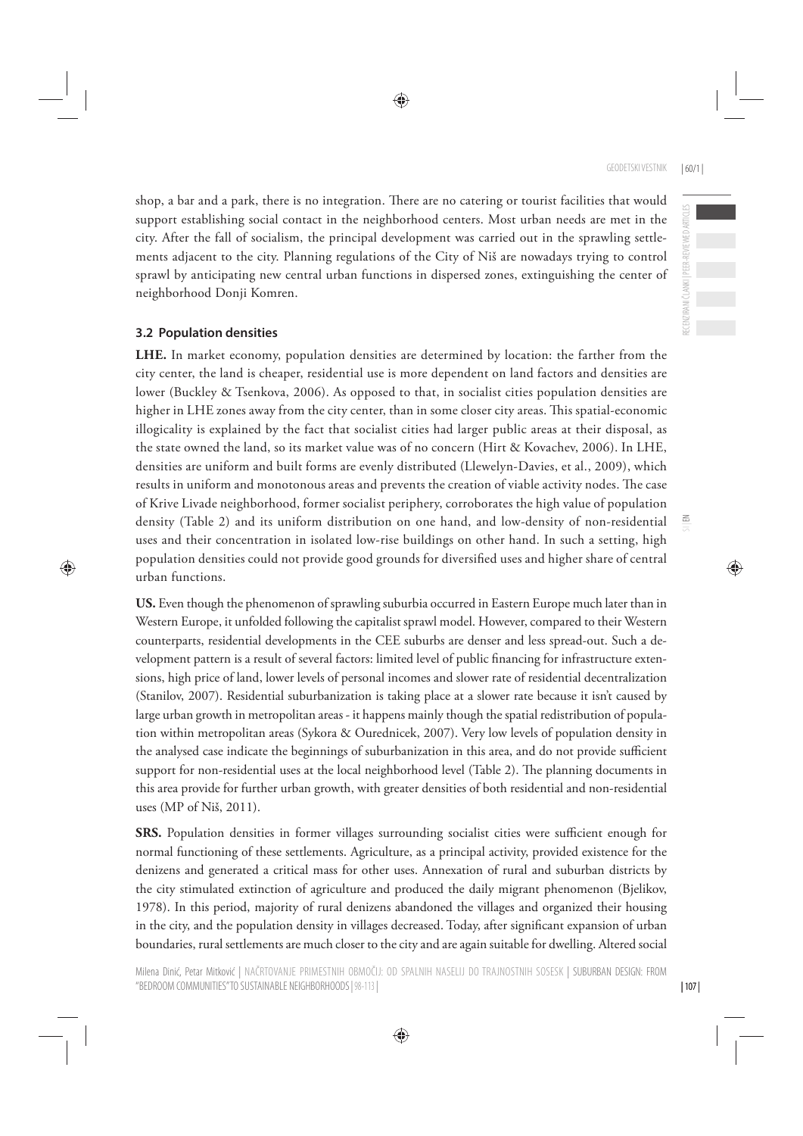shop, a bar and a park, there is no integration. There are no catering or tourist facilities that would support establishing social contact in the neighborhood centers. Most urban needs are met in the city. After the fall of socialism, the principal development was carried out in the sprawling settlements adjacent to the city. Planning regulations of the City of Niš are nowadays trying to control sprawl by anticipating new central urban functions in dispersed zones, extinguishing the center of neighborhood Donji Komren.

#### **3.2 Population densities**

**LHE.** In market economy, population densities are determined by location: the farther from the city center, the land is cheaper, residential use is more dependent on land factors and densities are lower (Buckley & Tsenkova, 2006). As opposed to that, in socialist cities population densities are higher in LHE zones away from the city center, than in some closer city areas. This spatial-economic illogicality is explained by the fact that socialist cities had larger public areas at their disposal, as the state owned the land, so its market value was of no concern (Hirt & Kovachev, 2006). In LHE, densities are uniform and built forms are evenly distributed (Llewelyn-Davies, et al., 2009), which results in uniform and monotonous areas and prevents the creation of viable activity nodes. The case of Krive Livade neighborhood, former socialist periphery, corroborates the high value of population density (Table 2) and its uniform distribution on one hand, and low-density of non-residential uses and their concentration in isolated low-rise buildings on other hand. In such a setting, high population densities could not provide good grounds for diversified uses and higher share of central urban functions.

**US.** Even though the phenomenon of sprawling suburbia occurred in Eastern Europe much later than in Western Europe, it unfolded following the capitalist sprawl model. However, compared to their Western counterparts, residential developments in the CEE suburbs are denser and less spread-out. Such a development pattern is a result of several factors: limited level of public financing for infrastructure extensions, high price of land, lower levels of personal incomes and slower rate of residential decentralization (Stanilov, 2007). Residential suburbanization is taking place at a slower rate because it isn't caused by large urban growth in metropolitan areas - it happens mainly though the spatial redistribution of population within metropolitan areas (Sykora & Ourednicek, 2007). Very low levels of population density in the analysed case indicate the beginnings of suburbanization in this area, and do not provide sufficient support for non-residential uses at the local neighborhood level (Table 2). The planning documents in this area provide for further urban growth, with greater densities of both residential and non-residential uses (MP of Niš, 2011).

**SRS.** Population densities in former villages surrounding socialist cities were sufficient enough for normal functioning of these settlements. Agriculture, as a principal activity, provided existence for the denizens and generated a critical mass for other uses. Annexation of rural and suburban districts by the city stimulated extinction of agriculture and produced the daily migrant phenomenon (Bjelikov, 1978). In this period, majority of rural denizens abandoned the villages and organized their housing in the city, and the population density in villages decreased. Today, after significant expansion of urban boundaries, rural settlements are much closer to the city and are again suitable for dwelling. Altered social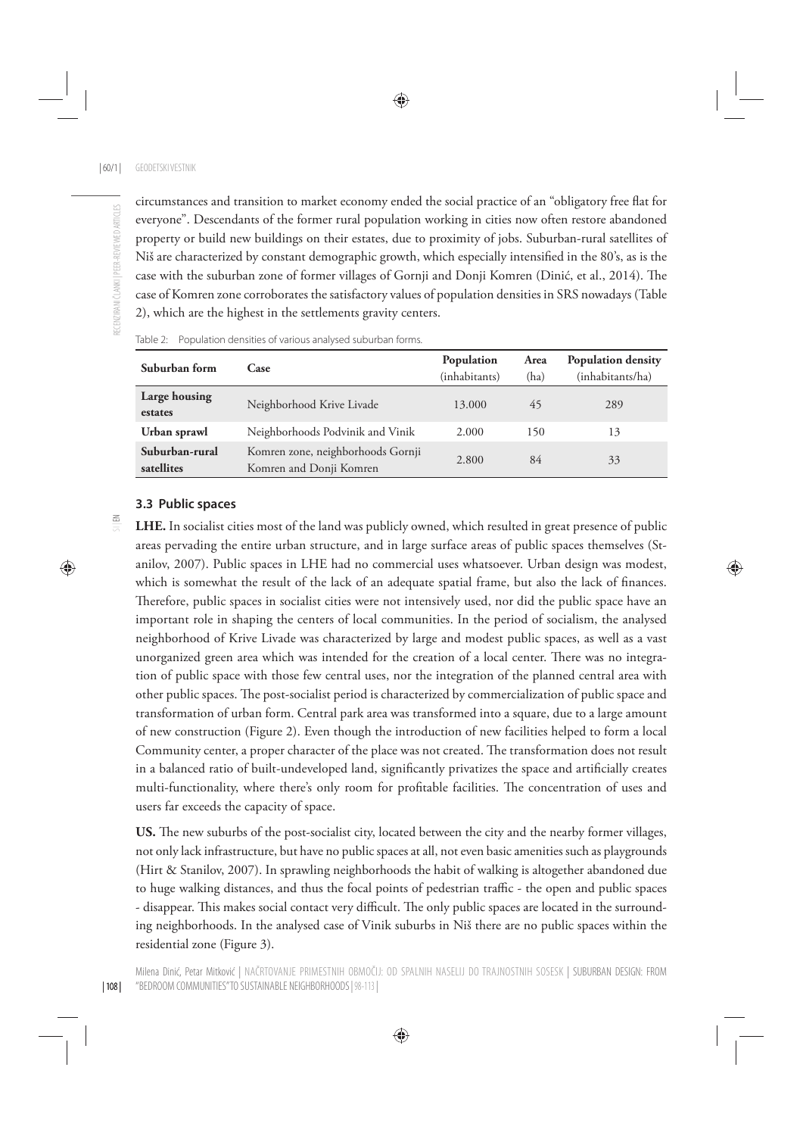circumstances and transition to market economy ended the social practice of an "obligatory free flat for everyone". Descendants of the former rural population working in cities now often restore abandoned property or build new buildings on their estates, due to proximity of jobs. Suburban-rural satellites of Niš are characterized by constant demographic growth, which especially intensified in the 80's, as is the case with the suburban zone of former villages of Gornji and Donji Komren (Dinić, et al., 2014). The case of Komren zone corroborates the satisfactory values of population densities in SRS nowadays (Table 2), which are the highest in the settlements gravity centers.

| Suburban form                | Case                                                         | Population<br>(inhabitants) | Area<br>(ha) | <b>Population density</b><br>(inhabitants/ha) |
|------------------------------|--------------------------------------------------------------|-----------------------------|--------------|-----------------------------------------------|
| Large housing<br>estates     | Neighborhood Krive Livade                                    | 13.000                      | 45           | 289                                           |
| Urban sprawl                 | Neighborhoods Podvinik and Vinik                             | 2.000                       | 150          | 13                                            |
| Suburban-rural<br>satellites | Komren zone, neighborhoods Gornji<br>Komren and Donji Komren | 2.800                       | 84           | 33                                            |

| Table 2: Population densities of various analysed suburban forms. |  |  |
|-------------------------------------------------------------------|--|--|
|-------------------------------------------------------------------|--|--|

#### **3.3 Public spaces**

**LHE.** In socialist cities most of the land was publicly owned, which resulted in great presence of public areas pervading the entire urban structure, and in large surface areas of public spaces themselves (Stanilov, 2007). Public spaces in LHE had no commercial uses whatsoever. Urban design was modest, which is somewhat the result of the lack of an adequate spatial frame, but also the lack of finances. Therefore, public spaces in socialist cities were not intensively used, nor did the public space have an important role in shaping the centers of local communities. In the period of socialism, the analysed neighborhood of Krive Livade was characterized by large and modest public spaces, as well as a vast unorganized green area which was intended for the creation of a local center. There was no integration of public space with those few central uses, nor the integration of the planned central area with other public spaces. The post-socialist period is characterized by commercialization of public space and transformation of urban form. Central park area was transformed into a square, due to a large amount of new construction (Figure 2). Even though the introduction of new facilities helped to form a local Community center, a proper character of the place was not created. The transformation does not result in a balanced ratio of built-undeveloped land, significantly privatizes the space and artificially creates multi-functionality, where there's only room for profitable facilities. The concentration of uses and users far exceeds the capacity of space.

US. The new suburbs of the post-socialist city, located between the city and the nearby former villages, not only lack infrastructure, but have no public spaces at all, not even basic amenities such as playgrounds (Hirt & Stanilov, 2007). In sprawling neighborhoods the habit of walking is altogether abandoned due to huge walking distances, and thus the focal points of pedestrian traffic - the open and public spaces - disappear. This makes social contact very difficult. The only public spaces are located in the surrounding neighborhoods. In the analysed case of Vinik suburbs in Niš there are no public spaces within the residential zone (Figure 3).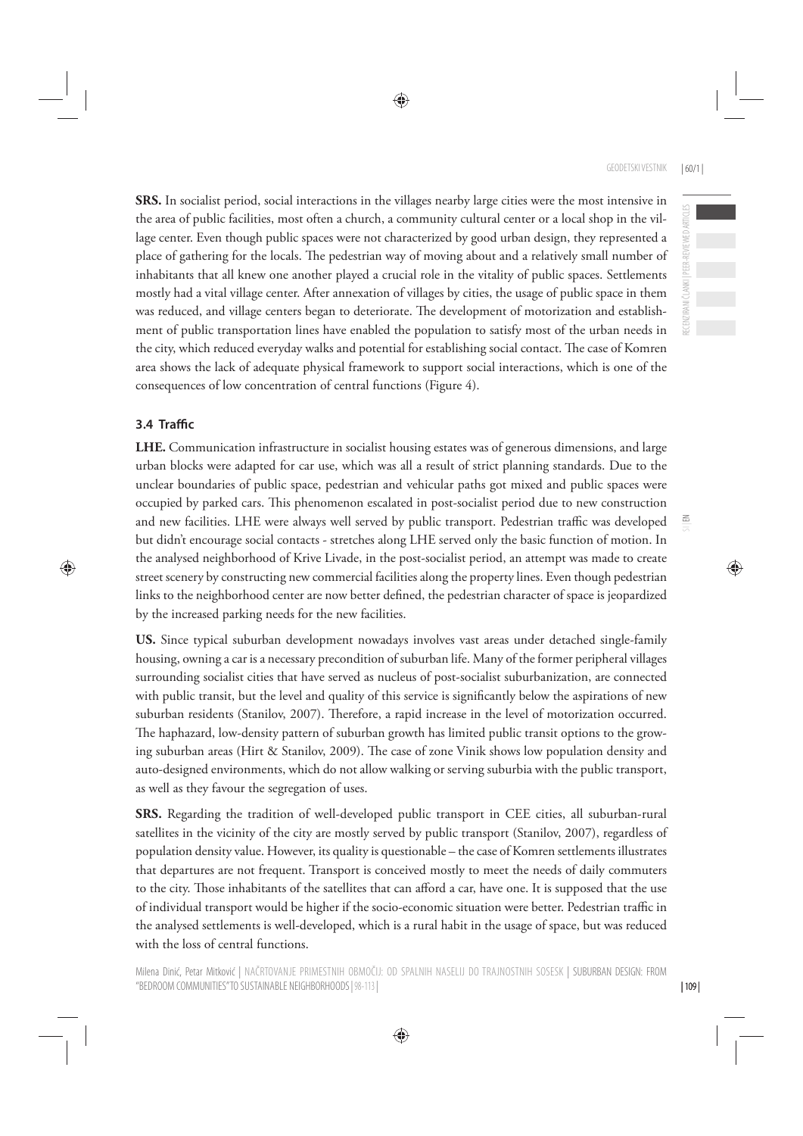RECENZIRANI ČLANKI | PEER-REVIEWED ARTICLES

ECENZIRANI ČLANKI | PEER-REVIEWED ARTICLES

 $\Xi$ 

**SRS.** In socialist period, social interactions in the villages nearby large cities were the most intensive in the area of public facilities, most often a church, a community cultural center or a local shop in the village center. Even though public spaces were not characterized by good urban design, they represented a place of gathering for the locals. The pedestrian way of moving about and a relatively small number of inhabitants that all knew one another played a crucial role in the vitality of public spaces. Settlements mostly had a vital village center. After annexation of villages by cities, the usage of public space in them was reduced, and village centers began to deteriorate. The development of motorization and establishment of public transportation lines have enabled the population to satisfy most of the urban needs in the city, which reduced everyday walks and potential for establishing social contact. The case of Komren area shows the lack of adequate physical framework to support social interactions, which is one of the consequences of low concentration of central functions (Figure 4).

### **3.4 Traffi c**

**LHE.** Communication infrastructure in socialist housing estates was of generous dimensions, and large urban blocks were adapted for car use, which was all a result of strict planning standards. Due to the unclear boundaries of public space, pedestrian and vehicular paths got mixed and public spaces were occupied by parked cars. This phenomenon escalated in post-socialist period due to new construction and new facilities. LHE were always well served by public transport. Pedestrian traffic was developed but didn't encourage social contacts - stretches along LHE served only the basic function of motion. In the analysed neighborhood of Krive Livade, in the post-socialist period, an attempt was made to create street scenery by constructing new commercial facilities along the property lines. Even though pedestrian links to the neighborhood center are now better defined, the pedestrian character of space is jeopardized by the increased parking needs for the new facilities.

**US.** Since typical suburban development nowadays involves vast areas under detached single-family housing, owning a car is a necessary precondition of suburban life. Many of the former peripheral villages surrounding socialist cities that have served as nucleus of post-socialist suburbanization, are connected with public transit, but the level and quality of this service is significantly below the aspirations of new suburban residents (Stanilov, 2007). Therefore, a rapid increase in the level of motorization occurred. The haphazard, low-density pattern of suburban growth has limited public transit options to the growing suburban areas (Hirt & Stanilov, 2009). The case of zone Vinik shows low population density and auto-designed environments, which do not allow walking or serving suburbia with the public transport, as well as they favour the segregation of uses.

**SRS.** Regarding the tradition of well-developed public transport in CEE cities, all suburban-rural satellites in the vicinity of the city are mostly served by public transport (Stanilov, 2007), regardless of population density value. However, its quality is questionable – the case of Komren settlements illustrates that departures are not frequent. Transport is conceived mostly to meet the needs of daily commuters to the city. Those inhabitants of the satellites that can afford a car, have one. It is supposed that the use of individual transport would be higher if the socio-economic situation were better. Pedestrian traffic in the analysed settlements is well-developed, which is a rural habit in the usage of space, but was reduced with the loss of central functions.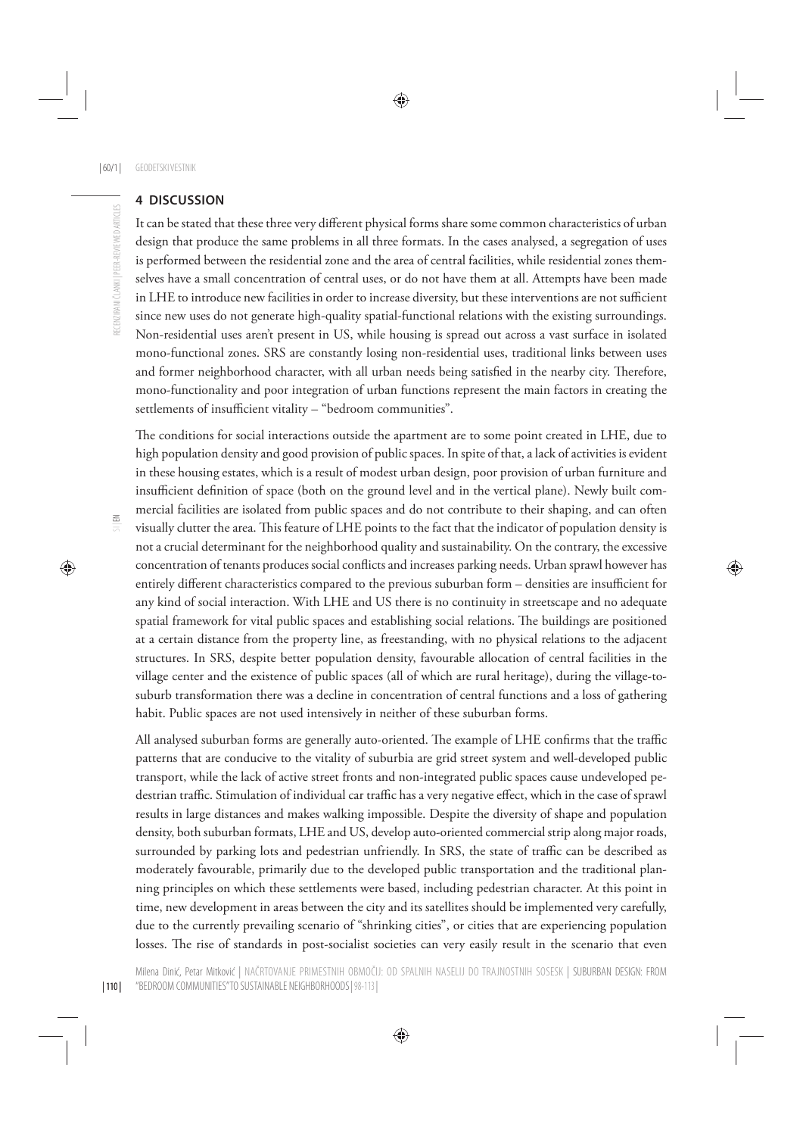#### **4 DISCUSSION**

It can be stated that these three very different physical forms share some common characteristics of urban design that produce the same problems in all three formats. In the cases analysed, a segregation of uses is performed between the residential zone and the area of central facilities, while residential zones themselves have a small concentration of central uses, or do not have them at all. Attempts have been made in LHE to introduce new facilities in order to increase diversity, but these interventions are not sufficient since new uses do not generate high-quality spatial-functional relations with the existing surroundings. Non-residential uses aren't present in US, while housing is spread out across a vast surface in isolated mono-functional zones. SRS are constantly losing non-residential uses, traditional links between uses and former neighborhood character, with all urban needs being satisfied in the nearby city. Therefore, mono-functionality and poor integration of urban functions represent the main factors in creating the settlements of insufficient vitality – "bedroom communities".

The conditions for social interactions outside the apartment are to some point created in LHE, due to high population density and good provision of public spaces. In spite of that, a lack of activities is evident in these housing estates, which is a result of modest urban design, poor provision of urban furniture and insufficient definition of space (both on the ground level and in the vertical plane). Newly built commercial facilities are isolated from public spaces and do not contribute to their shaping, and can often visually clutter the area. This feature of LHE points to the fact that the indicator of population density is not a crucial determinant for the neighborhood quality and sustainability. On the contrary, the excessive concentration of tenants produces social conflicts and increases parking needs. Urban sprawl however has entirely different characteristics compared to the previous suburban form – densities are insufficient for any kind of social interaction. With LHE and US there is no continuity in streetscape and no adequate spatial framework for vital public spaces and establishing social relations. The buildings are positioned at a certain distance from the property line, as freestanding, with no physical relations to the adjacent structures. In SRS, despite better population density, favourable allocation of central facilities in the village center and the existence of public spaces (all of which are rural heritage), during the village-tosuburb transformation there was a decline in concentration of central functions and a loss of gathering habit. Public spaces are not used intensively in neither of these suburban forms.

All analysed suburban forms are generally auto-oriented. The example of LHE confirms that the traffic patterns that are conducive to the vitality of suburbia are grid street system and well-developed public transport, while the lack of active street fronts and non-integrated public spaces cause undeveloped pedestrian traffic. Stimulation of individual car traffic has a very negative effect, which in the case of sprawl results in large distances and makes walking impossible. Despite the diversity of shape and population density, both suburban formats, LHE and US, develop auto-oriented commercial strip along major roads, surrounded by parking lots and pedestrian unfriendly. In SRS, the state of traffic can be described as moderately favourable, primarily due to the developed public transportation and the traditional planning principles on which these settlements were based, including pedestrian character. At this point in time, new development in areas between the city and its satellites should be implemented very carefully, due to the currently prevailing scenario of "shrinking cities", or cities that are experiencing population losses. The rise of standards in post-socialist societies can very easily result in the scenario that even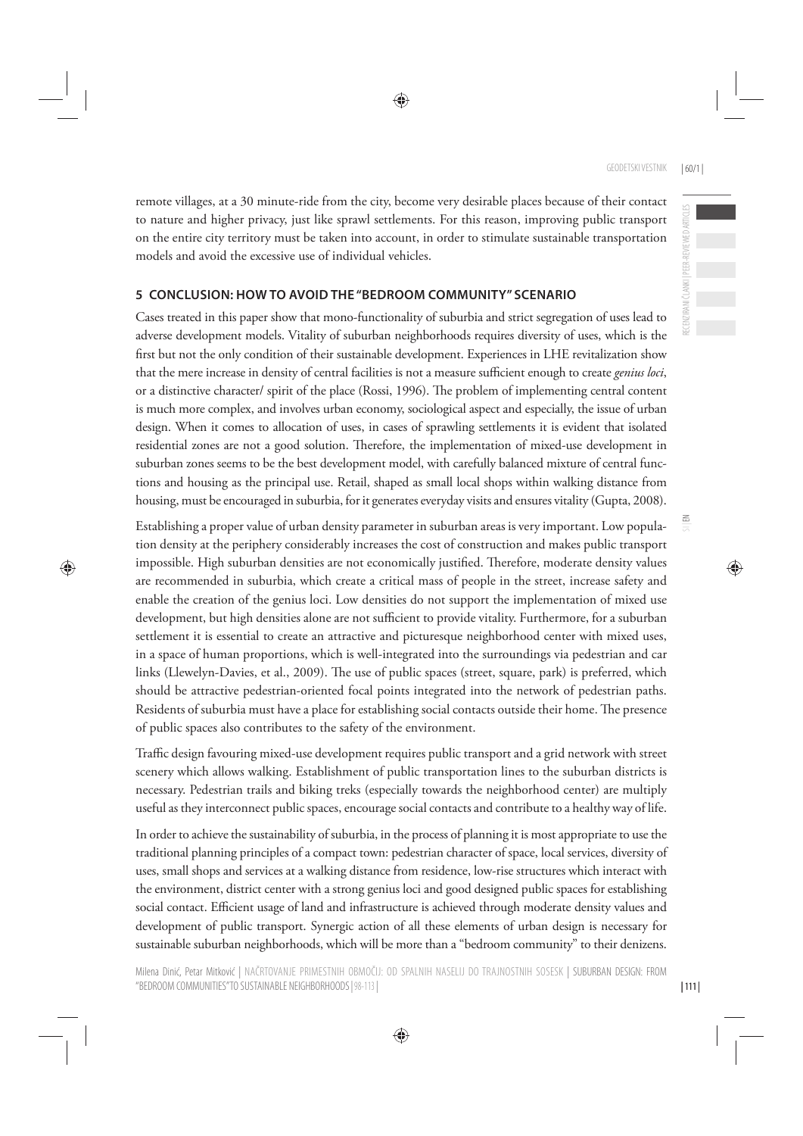remote villages, at a 30 minute-ride from the city, become very desirable places because of their contact to nature and higher privacy, just like sprawl settlements. For this reason, improving public transport on the entire city territory must be taken into account, in order to stimulate sustainable transportation models and avoid the excessive use of individual vehicles.

#### **5 CONCLUSION: HOW TO AVOID THE "BEDROOM COMMUNITY" SCENARIO**

Cases treated in this paper show that mono-functionality of suburbia and strict segregation of uses lead to adverse development models. Vitality of suburban neighborhoods requires diversity of uses, which is the first but not the only condition of their sustainable development. Experiences in LHE revitalization show that the mere increase in density of central facilities is not a measure sufficient enough to create *genius loci*, or a distinctive character/ spirit of the place (Rossi, 1996). The problem of implementing central content is much more complex, and involves urban economy, sociological aspect and especially, the issue of urban design. When it comes to allocation of uses, in cases of sprawling settlements it is evident that isolated residential zones are not a good solution. Therefore, the implementation of mixed-use development in suburban zones seems to be the best development model, with carefully balanced mixture of central functions and housing as the principal use. Retail, shaped as small local shops within walking distance from housing, must be encouraged in suburbia, for it generates everyday visits and ensures vitality (Gupta, 2008).

Establishing a proper value of urban density parameter in suburban areas is very important. Low population density at the periphery considerably increases the cost of construction and makes public transport impossible. High suburban densities are not economically justified. Therefore, moderate density values are recommended in suburbia, which create a critical mass of people in the street, increase safety and enable the creation of the genius loci. Low densities do not support the implementation of mixed use development, but high densities alone are not sufficient to provide vitality. Furthermore, for a suburban settlement it is essential to create an attractive and picturesque neighborhood center with mixed uses, in a space of human proportions, which is well-integrated into the surroundings via pedestrian and car links (Llewelyn-Davies, et al., 2009). The use of public spaces (street, square, park) is preferred, which should be attractive pedestrian-oriented focal points integrated into the network of pedestrian paths. Residents of suburbia must have a place for establishing social contacts outside their home. The presence of public spaces also contributes to the safety of the environment.

Traffic design favouring mixed-use development requires public transport and a grid network with street scenery which allows walking. Establishment of public transportation lines to the suburban districts is necessary. Pedestrian trails and biking treks (especially towards the neighborhood center) are multiply useful as they interconnect public spaces, encourage social contacts and contribute to a healthy way of life.

In order to achieve the sustainability of suburbia, in the process of planning it is most appropriate to use the traditional planning principles of a compact town: pedestrian character of space, local services, diversity of uses, small shops and services at a walking distance from residence, low-rise structures which interact with the environment, district center with a strong genius loci and good designed public spaces for establishing social contact. Efficient usage of land and infrastructure is achieved through moderate density values and development of public transport. Synergic action of all these elements of urban design is necessary for sustainable suburban neighborhoods, which will be more than a "bedroom community" to their denizens.

 $\leq$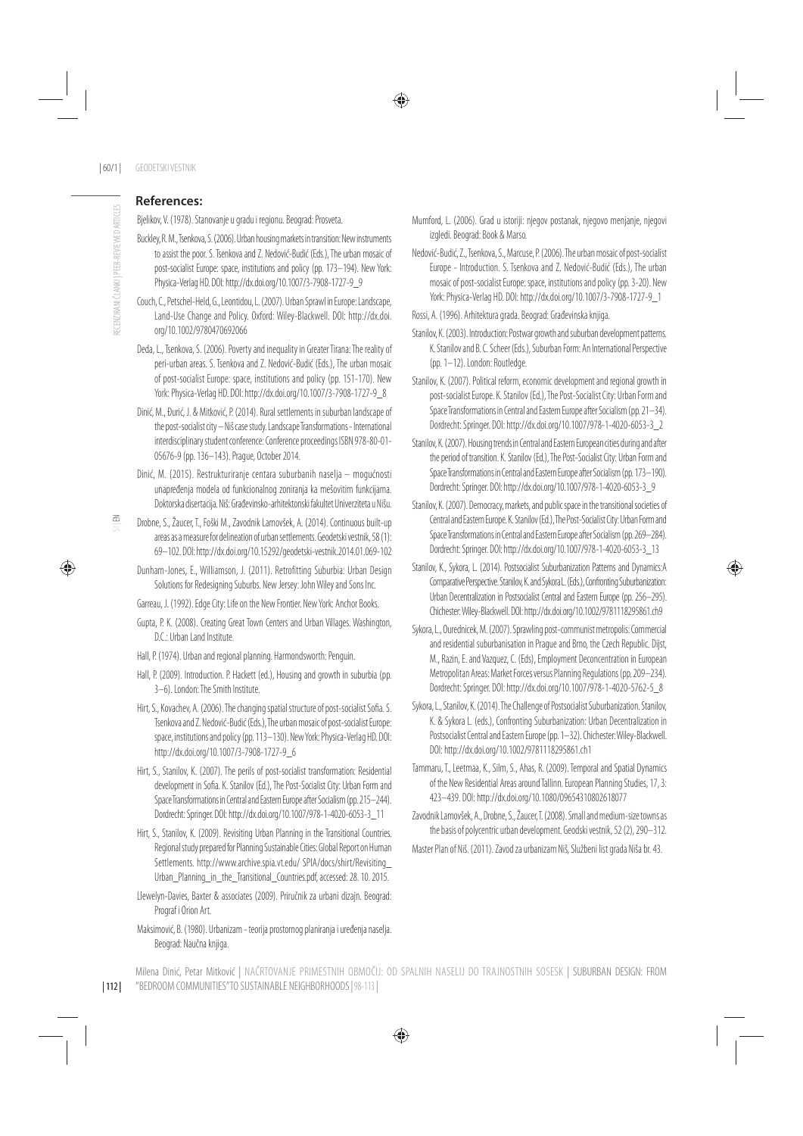#### **References:**

Bjelikov, V. (1978). Stanovanje u gradu i regionu. Beograd: Prosveta.

- Buckley, R. M., Tsenkova, S. (2006). Urban housing markets in transition: New instruments to assist the poor. S. Tsenkova and Z. Nedović-Budić (Eds.), The urban mosaic of post-socialist Europe: space, institutions and policy (pp. 173–194). New York: Physica-Verlag HD. DOI: http://dx.doi.org/10.1007/3-7908-1727-9\_9
- Couch, C., Petschel-Held, G., Leontidou, L. (2007). Urban Sprawl in Europe: Landscape, Land-Use Change and Policy. Oxford: Wiley-Blackwell. DOI: http://dx.doi. org/10.1002/9780470692066
- Deda, L., Tsenkova, S. (2006). Poverty and inequality in Greater Tirana: The reality of peri-urban areas. S. Tsenkova and Z. Nedović-Budić (Eds.), The urban mosaic of post-socialist Europe: space, institutions and policy (pp. 151-170). New York: Physica-Verlag HD. DOI: http://dx.doi.org/10.1007/3-7908-1727-9\_8
- Dinić, M., Đurić, J. & Mitković, P. (2014). Rural settlements in suburban landscape of the post-socialist city – Niš case study. Landscape Transformations - International interdisciplinary student conference: Conference proceedings ISBN 978-80-01- 05676-9 (pp. 136–143). Prague, October 2014.
- Dinić, M. (2015). Restrukturiranje centara suburbanih naselja mogućnosti unapređenja modela od funkcionalnog zoniranja ka mešovitim funkcijama. Doktorska disertacija. Niš: Građevinsko-arhitektonski fakultet Univerziteta u Nišu.
- Drobne, S., Žaucer, T., Foški M., Zavodnik Lamovšek, A. (2014). Continuous built-up areas as a measure for delineation of urban settlements. Geodetski vestnik, 58 (1): 69–102. DOI: http://dx.doi.org/10.15292/geodetski-vestnik.2014.01.069-102
- Dunham-Jones, E., Williamson, J. (2011). Retrofitting Suburbia: Urban Design Solutions for Redesigning Suburbs. New Jersey: John Wiley and Sons Inc.
- Garreau, J. (1992). Edge City: Life on the New Frontier. New York: Anchor Books.
- Gupta, P. K. (2008). Creating Great Town Centers and Urban Villages. Washington, D.C.: Urban Land Institute.
- Hall, P. (1974). Urban and regional planning. Harmondsworth: Penguin.
- Hall, P. (2009). Introduction. P. Hackett (ed.), Housing and growth in suburbia (pp. 3–6). London: The Smith Institute.
- Hirt, S., Kovachev, A. (2006). The changing spatial structure of post-socialist Sofia. S. Tsenkova and Z. Nedović-Budić (Eds.), The urban mosaic of post-socialist Europe: space, institutions and policy (pp. 113–130). New York: Physica-Verlag HD. DOI: http://dx.doi.org/10.1007/3-7908-1727-9\_6
- Hirt, S., Stanilov, K. (2007). The perils of post-socialist transformation: Residential development in Sofia. K. Stanilov (Ed.), The Post-Socialist City: Urban Form and Space Transformations in Central and Eastern Europe after Socialism (pp. 215–244). Dordrecht: Springer. DOI: http://dx.doi.org/10.1007/978-1-4020-6053-3\_11
- Hirt, S., Stanilov, K. (2009). Revisiting Urban Planning in the Transitional Countries. Regional study prepared for Planning Sustainable Cities: Global Report on Human Settlements. http://www.archive.spia.vt.edu/ SPIA/docs/shirt/Revisiting\_ Urban\_Planning\_in\_the\_Transitional\_Countries.pdf, accessed: 28. 10. 2015.
- Llewelyn-Davies, Baxter & associates (2009). Priručnik za urbani dizajn. Beograd: Prograf i Orion Art.
- Maksimović, B. (1980). Urbanizam teorija prostornog planiranja i uređenja naselja. Beograd: Naučna knjiga.
- Mumford, L. (2006). Grad u istoriji: njegov postanak, njegovo menjanje, njegovi izgledi. Beograd: Book & Marso.
- Nedović-Budić, Z., Tsenkova, S., Marcuse, P. (2006). The urban mosaic of post-socialist Europe - Introduction. S. Tsenkova and Z. Nedović-Budić (Eds.), The urban mosaic of post-socialist Europe: space, institutions and policy (pp. 3-20). New York: Physica-Verlag HD. DOI: http://dx.doi.org/10.1007/3-7908-1727-9\_1
- Rossi, A. (1996). Arhitektura grada. Beograd: Građevinska knjiga.
- Stanilov, K. (2003). Introduction: Postwar growth and suburban development patterns. K. Stanilov and B. C. Scheer (Eds.), Suburban Form: An International Perspective (pp. 1–12). London: Routledge.
- Stanilov, K. (2007). Political reform, economic development and regional growth in post-socialist Europe. K. Stanilov (Ed.), The Post-Socialist City: Urban Form and Space Transformations in Central and Eastern Europe after Socialism (pp. 21–34). Dordrecht: Springer. DOI: http://dx.doi.org/10.1007/978-1-4020-6053-3\_2
- Stanilov, K. (2007). Housing trends in Central and Eastern European cities during and after the period of transition. K. Stanilov (Ed.), The Post-Socialist City: Urban Form and Space Transformations in Central and Eastern Europe after Socialism (pp. 173–190). Dordrecht: Springer. DOI: http://dx.doi.org/10.1007/978-1-4020-6053-3\_9
- Stanilov, K. (2007). Democracy, markets, and public space in the transitional societies of Central and Eastern Europe. K. Stanilov (Ed.), The Post-Socialist City: Urban Form and Space Transformations in Central and Eastern Europe after Socialism (pp. 269–284). Dordrecht: Springer. DOI: http://dx.doi.org/10.1007/978-1-4020-6053-3\_13
- Stanilov, K., Sykora, L. (2014). Postsocialist Suburbanization Patterns and Dynamics:A Comparative Perspective. Stanilov, K. and Sykora L. (Eds.), Confronting Suburbanization: Urban Decentralization in Postsocialist Central and Eastern Europe (pp. 256–295). Chichester: Wiley-Blackwell. DOI: http://dx.doi.org/10.1002/9781118295861.ch9
- Sykora, L., Ourednicek, M. (2007). Sprawling post-communist metropolis: Commercial and residential suburbanisation in Prague and Brno, the Czech Republic. Dijst, M., Razin, E. and Vazquez, C. (Eds), Employment Deconcentration in European Metropolitan Areas: Market Forces versus Planning Regulations (pp. 209–234). Dordrecht: Springer. DOI: http://dx.doi.org/10.1007/978-1-4020-5762-5\_8
- Sykora, L., Stanilov, K. (2014). The Challenge of Postsocialist Suburbanization. Stanilov, K. & Sykora L. (eds.), Confronting Suburbanization: Urban Decentralization in Postsocialist Central and Eastern Europe (pp. 1–32). Chichester: Wiley-Blackwell. DOI: http://dx.doi.org/10.1002/9781118295861.ch1
- Tammaru, T., Leetmaa, K., Silm, S., Ahas, R. (2009). Temporal and Spatial Dynamics of the New Residential Areas around Tallinn. European Planning Studies, 17, 3: 423–439. DOI: http://dx.doi.org/10.1080/09654310802618077
- Zavodnik Lamovšek, A., Drobne, S., Žaucer, T. (2008). Small and medium-size towns as the basis of polycentric urban development. Geodski vestnik, 52 (2), 290–312.
- Master Plan of Niš. (2011). Zavod za urbanizam Niš, Službeni list grada Niša br. 43.